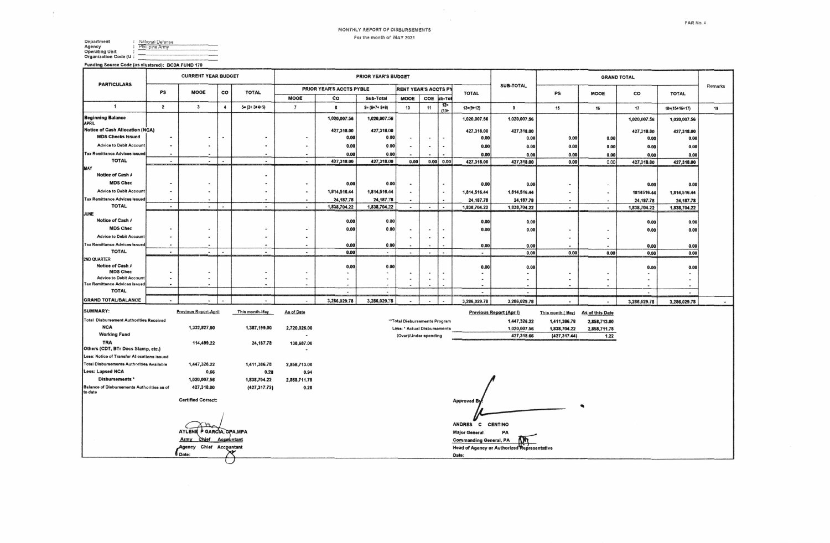## MONTHLY REPORT OF DISBURSEMENTS For the month of MAY 2021

 $\sim 10^{-1}$ 

 $\sim$ 

| Department            | National Defense |
|-----------------------|------------------|
| Agency                | Philipine Army   |
| <b>Operating Unit</b> |                  |
| Organization Code (U: |                  |
|                       |                  |

Funding Source Code (as clustered): BCDA FUND 170

 $\mathcal{L} = \mathcal{L}$ 

|                                                                             |                          | <b>CURRENT YEAR BUDGET</b>                   |                      |                          |                          |                          | <b>PRIOR YEAR'S BUDGET</b> |                              |                          |                                  |                               |                                             | <b>GRAND TOTAL</b>       |                          |                    |                     |         |  |  |  |  |
|-----------------------------------------------------------------------------|--------------------------|----------------------------------------------|----------------------|--------------------------|--------------------------|--------------------------|----------------------------|------------------------------|--------------------------|----------------------------------|-------------------------------|---------------------------------------------|--------------------------|--------------------------|--------------------|---------------------|---------|--|--|--|--|
| <b>PARTICULARS</b>                                                          | PS                       | <b>MOOE</b>                                  | co                   | <b>TOTAL</b>             |                          | PRIOR YEAR'S ACCTS PYBLE |                            | RENT YEAR'S ACCTS PY         |                          |                                  | <b>TOTAL</b>                  | SUB-TOTAL                                   | PS                       | <b>MOOE</b>              | co                 | <b>TOTAL</b>        | Remarks |  |  |  |  |
| $\mathbf{1}$                                                                |                          |                                              |                      |                          | <b>MOOE</b>              | CO<br>Sub-Total          |                            | <b>MOOE</b>                  | COE                      | ub-Tot<br>$12 =$                 |                               |                                             |                          |                          |                    |                     |         |  |  |  |  |
|                                                                             | $\overline{2}$           | 3                                            | $\ddot{\phantom{1}}$ | $5 = (2 + 3 + 4 + 5)$    | $\overline{\mathbf{r}}$  | 8                        | $9 = (6 + 7 + 8 + 9)$      | 10                           | 11                       | $(10 +$                          | $13=(9+12)$                   | $\mathbf 0$                                 | 15                       | 16                       | 17                 | $18=(15+16+17)$     | 19      |  |  |  |  |
| Beginning Balance<br>APRIL                                                  |                          |                                              |                      |                          |                          | 1,020,007.56             | 1,020,007.56               |                              |                          |                                  | 1,020,007.56                  | 1,020,007.56                                |                          |                          | 1,020,007.56       | 1,020,007.56        |         |  |  |  |  |
| Notice of Cash Allocation (NCA)<br><b>MDS Checks Issued</b>                 |                          |                                              | $\blacksquare$       |                          |                          | 427,318.00               | 427,318.00                 |                              |                          |                                  | 427,318.00                    | 427,318.00                                  |                          |                          | 427,318.00         | 427,318.00          |         |  |  |  |  |
| <b>Advice to Debit Account</b>                                              | $\sim$                   | $\blacksquare$<br>$\cdot$                    |                      | $\ddot{\phantom{1}}$     |                          | 0.00<br>0.00             | 0.00<br>0.00               | $\tilde{\phantom{a}}$        | ٠                        | $\blacksquare$<br>$\blacksquare$ | 0.00<br>0.00                  | 0.00<br>0.00                                | 0.00<br>0.00             | 0.00<br>0.00             | 0.00               | 0.00<br>0.00        |         |  |  |  |  |
| <b>Tax Remittance Advices Issuer</b>                                        |                          |                                              |                      |                          |                          | 0.00                     | 0.00                       |                              |                          | $\blacksquare$                   | 0.00                          | 0.00                                        | 0.00                     | 0.00                     | 0.00<br>0.00       | 0.00                |         |  |  |  |  |
| <b>TOTAL</b>                                                                | $\sim$                   | $\sim$                                       | $\blacksquare$       | $\sim$                   | $\sim$                   | 427,318.00               | 427,318.00                 | 0.00                         |                          | 0.00 0.00                        | 427,318.00                    | 427,318.00                                  | 0.00                     | 0.00                     | 427,318.00         | 427,318.00          |         |  |  |  |  |
| MAY<br>Notice of Cash /                                                     |                          |                                              |                      |                          |                          |                          |                            |                              |                          |                                  |                               |                                             |                          |                          |                    |                     |         |  |  |  |  |
| <b>MDS Chec</b>                                                             |                          | $\blacksquare$                               |                      |                          |                          | 0.00                     | 0.00                       | ٠                            |                          |                                  | 0.00                          | 0.00                                        | $\cdot$                  |                          |                    | 0.00                |         |  |  |  |  |
| <b>Advice to Debit Account</b>                                              |                          | $\blacksquare$                               |                      |                          |                          | 1,814,516.44             | 1,814,516.44               |                              |                          | $\cdot$                          | 1,814,516.44                  | 1,814,516.44                                | $\blacksquare$           | $\overline{\phantom{a}}$ | 0.00<br>1814516.44 | 1,814,516.44        |         |  |  |  |  |
| <b>Tax Remittance Advices Issued</b>                                        | $\overline{\phantom{a}}$ | $\blacksquare$                               |                      | $\ddot{\phantom{a}}$     |                          | 24, 187. 78              | 24, 187.78                 | $\overline{\phantom{a}}$     |                          |                                  | 24, 187. 78                   | 24, 187. 78                                 |                          |                          | 24, 187.78         | 24, 187. 78         |         |  |  |  |  |
| <b>TOTAL</b>                                                                | $\overline{\phantom{a}}$ | $\sim$                                       | ٠                    | $\overline{\phantom{a}}$ | $\bullet$                | 1,838,704.22             | 1,838,704.22               | $\overline{\phantom{a}}$     | $\overline{\phantom{a}}$ | $\overline{\phantom{a}}$         | 1,838,704.22                  | 1,838,704.22                                | $\sim$                   | $\sim$                   | 1,838,704.22       | 1,838,704.22        |         |  |  |  |  |
| JUNE<br>Notice of Cash /                                                    |                          |                                              |                      |                          |                          | 0.00                     | 0.00                       |                              |                          |                                  |                               |                                             |                          |                          |                    |                     |         |  |  |  |  |
| <b>MDS Chec</b>                                                             |                          |                                              |                      |                          |                          | 0.00                     | 0.00                       | $\blacksquare$               | $\blacksquare$           | $\bullet$                        | 0.00<br>0.00                  | 0.00<br>0.00                                | $\hat{\phantom{a}}$      | $\overline{\phantom{a}}$ | 0.00<br>0.00       | 0.00<br>0.00        |         |  |  |  |  |
| <b>Advice to Debit Account</b>                                              | $\blacksquare$           | $\overline{\phantom{a}}$                     |                      |                          |                          |                          |                            |                              |                          |                                  |                               |                                             | ٠                        | $\blacksquare$           |                    |                     |         |  |  |  |  |
| <b>Tax Remittance Advices Issued</b>                                        | $\blacksquare$           | ٠                                            |                      |                          |                          | 0.00                     | 0.00                       |                              |                          |                                  | 0.00                          | 0.00                                        |                          |                          | 0.00               | 0.00                |         |  |  |  |  |
| <b>TOTAL</b>                                                                | $\overline{\phantom{a}}$ | $\sim$                                       | $\blacksquare$       | $\blacksquare$           | $\overline{\phantom{a}}$ | 0.00                     | $\blacksquare$             | $\sim$                       | $\overline{\phantom{a}}$ | $\ddot{\phantom{a}}$             | $\overline{a}$                | 0.00                                        | 0.00                     | 0.00                     | 0.00               | 0.00                |         |  |  |  |  |
| 2ND QUARTER<br>Notice of Cash /                                             |                          |                                              |                      |                          |                          | 0.00                     | 0.00                       |                              |                          |                                  | 0.00                          | 0.00                                        |                          |                          |                    |                     |         |  |  |  |  |
| <b>MDS Chec</b>                                                             | $\blacksquare$           |                                              |                      |                          |                          | $\blacksquare$           | $\blacksquare$             |                              |                          |                                  |                               | $\overline{\phantom{0}}$                    |                          |                          | 0.00               | 0.00                |         |  |  |  |  |
| <b>Advice to Debit Account</b><br><b>Tax Remittance Advices Issued</b>      | $\overline{a}$<br>$\sim$ | $\overline{\phantom{a}}$<br>$\mathbf{a}$     |                      | $\blacksquare$           |                          | $\overline{a}$           |                            | $\overline{\phantom{a}}$     |                          | ×,                               |                               | $\blacksquare$                              | $\overline{\phantom{a}}$ | $\overline{\phantom{a}}$ |                    | $\blacksquare$<br>٠ |         |  |  |  |  |
| <b>TOTAL</b>                                                                |                          |                                              |                      |                          |                          | $\overline{\phantom{a}}$ | $\overline{\phantom{a}}$   |                              |                          |                                  | $\overline{\phantom{a}}$      | $\sim$                                      |                          |                          | $\blacksquare$     | $\sim$              |         |  |  |  |  |
| <b>GRAND TOTAL/BALANCE</b>                                                  | $\overline{\phantom{a}}$ | $\ddot{\phantom{a}}$                         |                      | $\ddot{\phantom{0}}$     |                          | 3,286,029.78             | 3,286,029.78               |                              | ٠                        |                                  | 3,286,029.78                  | 3,286,029.78                                | $\blacksquare$           | $\overline{\phantom{a}}$ | 3,286,029.78       | 3,286,029.78        |         |  |  |  |  |
| <b>SUMMARY:</b>                                                             |                          | <b>Previous Report-April</b>                 |                      | This month-liay          | As of Date               |                          |                            |                              |                          |                                  |                               | <b>Previous Report (April)</b>              | This month (May)         | As of this Date          |                    |                     |         |  |  |  |  |
| <b>Total Disbursement Authorities Received</b>                              |                          |                                              |                      |                          |                          |                          |                            | "Total Disbursements Program |                          |                                  |                               | 1,447,326.22                                | 1,411,386.78             | 2,858,713.00             |                    |                     |         |  |  |  |  |
| <b>NCA</b><br><b>Working Fund</b>                                           |                          | 1,332,827.00                                 |                      | 1,387,199.00             | 2,720,026.00             |                          |                            | Less: * Actual Disbursements |                          |                                  |                               | 1,020,007.56                                | 1,838,704.22             | 2,858,711.78             |                    |                     |         |  |  |  |  |
| <b>TRA</b>                                                                  |                          | 114,499.22                                   |                      | 24, 187. 78              | 138,687.00               |                          |                            | (Over)/Under spending        |                          |                                  |                               | 427,318.66                                  | (427, 317.44)            | 1.22                     |                    |                     |         |  |  |  |  |
| Others (CDT, BTr Docs Stamp, etc.)                                          |                          |                                              |                      |                          |                          |                          |                            |                              |                          |                                  |                               |                                             |                          |                          |                    |                     |         |  |  |  |  |
| Less: Notice of Transfer Allocations issued                                 |                          |                                              |                      |                          |                          |                          |                            |                              |                          |                                  |                               |                                             |                          |                          |                    |                     |         |  |  |  |  |
| <b>Total Disbursements Authorities Available</b><br><b>Less: Lapsed NCA</b> |                          | 1,447,326.22<br>0.66                         |                      | 1,411,386.78<br>0.28     | 2,858,713.00<br>0.94     |                          |                            |                              |                          |                                  |                               |                                             |                          |                          |                    |                     |         |  |  |  |  |
| Disbursements <sup>*</sup>                                                  |                          | 1,020,007.56                                 |                      | 1,838,704.22             | 2,858,711.78             |                          |                            |                              |                          |                                  |                               |                                             |                          |                          |                    |                     |         |  |  |  |  |
| Balance of Disbursements Authorities as of                                  |                          | 427,318.00                                   |                      | (427, 317.72)            | 0.28                     |                          |                            |                              |                          |                                  |                               |                                             |                          |                          |                    |                     |         |  |  |  |  |
| to date                                                                     |                          | <b>Certified Correct:</b>                    |                      |                          |                          |                          |                            |                              |                          |                                  |                               |                                             |                          |                          |                    |                     |         |  |  |  |  |
|                                                                             |                          |                                              |                      |                          |                          |                          |                            |                              |                          |                                  | <b>Approved By</b>            |                                             |                          |                          |                    |                     |         |  |  |  |  |
|                                                                             |                          |                                              |                      |                          |                          |                          |                            |                              |                          |                                  |                               |                                             |                          |                          |                    |                     |         |  |  |  |  |
|                                                                             |                          |                                              |                      |                          |                          |                          |                            |                              |                          |                                  | ANDRES C CENTINO              |                                             |                          |                          |                    |                     |         |  |  |  |  |
|                                                                             |                          | AYLENE P GARCIA, CPA, MPA                    |                      |                          |                          |                          |                            |                              |                          |                                  | <b>Major General</b><br>PA    |                                             |                          |                          |                    |                     |         |  |  |  |  |
|                                                                             |                          | Chief Accountant<br>Army<br>Chief Accountant |                      |                          |                          |                          |                            |                              |                          |                                  | <b>Commanding General, PA</b> |                                             |                          |                          |                    |                     |         |  |  |  |  |
|                                                                             |                          | Agency<br>Date:                              |                      |                          |                          |                          |                            |                              |                          |                                  | Date:                         | Head of Agency or Authorized Representative |                          |                          |                    |                     |         |  |  |  |  |
|                                                                             |                          |                                              |                      |                          |                          |                          |                            |                              |                          |                                  |                               |                                             |                          |                          |                    |                     |         |  |  |  |  |